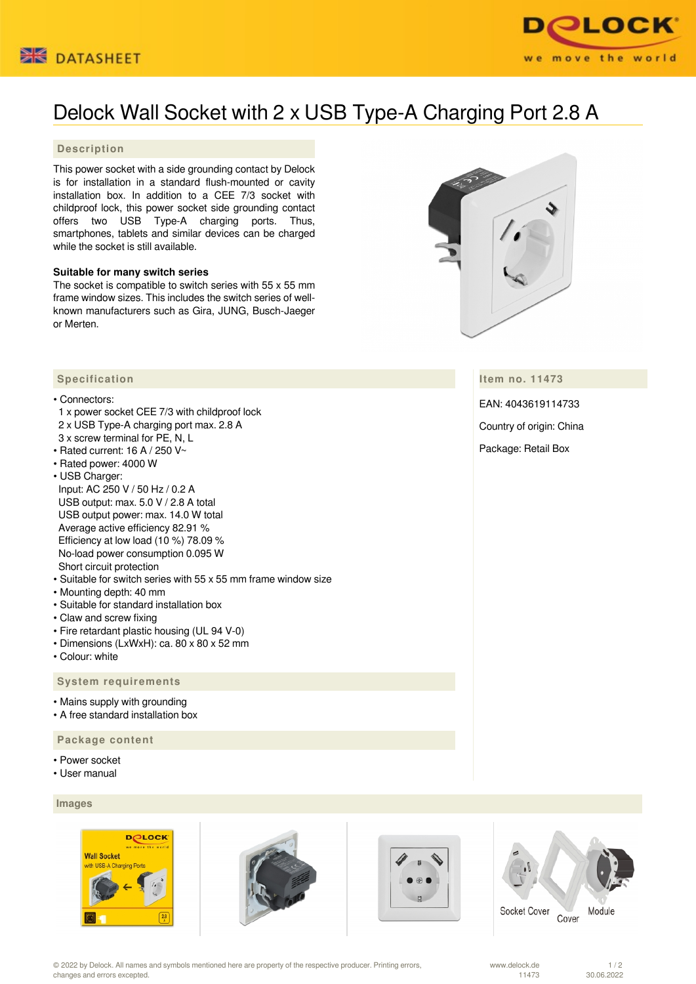



# Delock Wall Socket with 2 x USB Type-A Charging Port 2.8 A

## **Description**

This power socket with a side grounding contact by Delock is for installation in a standard flush-mounted or cavity installation box. In addition to a CEE 7/3 socket with childproof lock, this power socket side grounding contact offers two USB Type-A charging ports. Thus, smartphones, tablets and similar devices can be charged while the socket is still available.

## **Suitable for many switch series**

The socket is compatible to switch series with 55 x 55 mm frame window sizes. This includes the switch series of wellknown manufacturers such as Gira, JUNG, Busch-Jaeger or Merten.



## **Item no. 11473**

EAN: 4043619114733

Country of origin: China

Package: Retail Box

# **Specification**

## • Connectors:

- 1 x power socket CEE 7/3 with childproof lock 2 x USB Type-A charging port max. 2.8 A
- 3 x screw terminal for PE, N, L
- Rated current: 16 A / 250 V $\sim$
- Rated power: 4000 W

• USB Charger: Input: AC 250 V / 50 Hz / 0.2 A USB output: max. 5.0 V / 2.8 A total USB output power: max. 14.0 W total Average active efficiency 82.91 % Efficiency at low load (10 %) 78.09 % No-load power consumption 0.095 W Short circuit protection

- Suitable for switch series with 55 x 55 mm frame window size
- Mounting depth: 40 mm
- Suitable for standard installation box
- Claw and screw fixing
- Fire retardant plastic housing (UL 94 V-0)
- Dimensions (LxWxH): ca. 80 x 80 x 52 mm
- Colour: white

#### **System requirements**

- Mains supply with grounding
- A free standard installation box

## **Package content**

- Power socket
- User manual

## **Images**







Socket Cover Cover Module